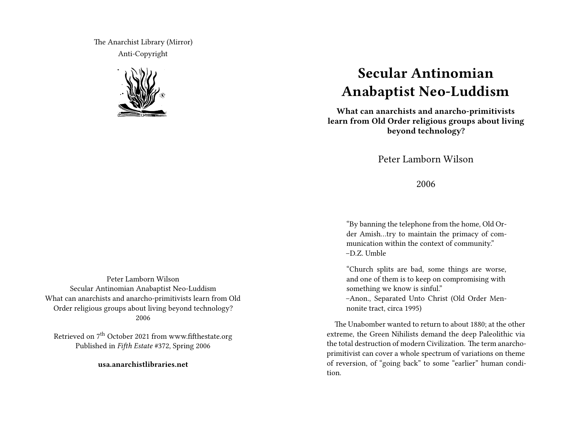The Anarchist Library (Mirror) Anti-Copyright



## **Secular Antinomian Anabaptist Neo-Luddism**

**What can anarchists and anarcho-primitivists learn from Old Order religious groups about living beyond technology?**

Peter Lamborn Wilson

2006

"By banning the telephone from the home, Old Order Amish…try to maintain the primacy of communication within the context of community." –D.Z. Umble

"Church splits are bad, some things are worse, and one of them is to keep on compromising with something we know is sinful." –Anon., Separated Unto Christ (Old Order Mennonite tract, circa 1995)

The Unabomber wanted to return to about 1880; at the other extreme, the Green Nihilists demand the deep Paleolithic via the total destruction of modern Civilization. The term anarchoprimitivist can cover a whole spectrum of variations on theme of reversion, of "going back" to some "earlier" human condition.

Peter Lamborn Wilson Secular Antinomian Anabaptist Neo-Luddism What can anarchists and anarcho-primitivists learn from Old Order religious groups about living beyond technology? 2006

Retrieved on 7<sup>th</sup> October 2021 from www.fifthestate.org Published in *Fifth Estate* #372, Spring 2006

**usa.anarchistlibraries.net**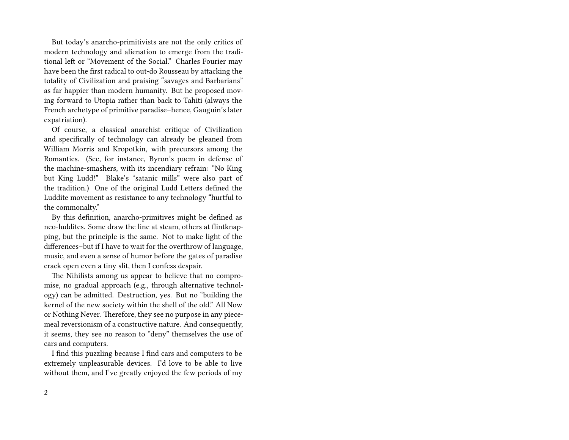But today's anarcho-primitivists are not the only critics of modern technology and alienation to emerge from the traditional left or "Movement of the Social." Charles Fourier may have been the first radical to out-do Rousseau by attacking the totality of Civilization and praising "savages and Barbarians" as far happier than modern humanity. But he proposed moving forward to Utopia rather than back to Tahiti (always the French archetype of primitive paradise–hence, Gauguin's later expatriation).

Of course, a classical anarchist critique of Civilization and specifically of technology can already be gleaned from William Morris and Kropotkin, with precursors among the Romantics. (See, for instance, Byron's poem in defense of the machine-smashers, with its incendiary refrain: "No King but King Ludd!" Blake's "satanic mills" were also part of the tradition.) One of the original Ludd Letters defined the Luddite movement as resistance to any technology "hurtful to the commonalty."

By this definition, anarcho-primitives might be defined as neo-luddites. Some draw the line at steam, others at flintknapping, but the principle is the same. Not to make light of the differences–but if I have to wait for the overthrow of language, music, and even a sense of humor before the gates of paradise crack open even a tiny slit, then I confess despair.

The Nihilists among us appear to believe that no compromise, no gradual approach (e.g., through alternative technology) can be admitted. Destruction, yes. But no "building the kernel of the new society within the shell of the old." All Now or Nothing Never. Therefore, they see no purpose in any piecemeal reversionism of a constructive nature. And consequently, it seems, they see no reason to "deny" themselves the use of cars and computers.

I find this puzzling because I find cars and computers to be extremely unpleasurable devices. I'd love to be able to live without them, and I've greatly enjoyed the few periods of my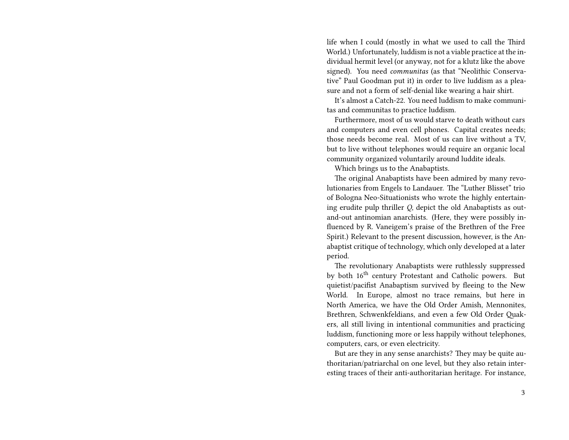life when I could (mostly in what we used to call the Third World.) Unfortunately, luddism is not a viable practice at the individual hermit level (or anyway, not for a klutz like the above signed). You need *communitas* (as that "Neolithic Conservative" Paul Goodman put it) in order to live luddism as a pleasure and not a form of self-denial like wearing a hair shirt.

It's almost a Catch-22. You need luddism to make communitas and communitas to practice luddism.

Furthermore, most of us would starve to death without cars and computers and even cell phones. Capital creates needs; those needs become real. Most of us can live without a TV, but to live without telephones would require an organic local community organized voluntarily around luddite ideals.

Which brings us to the Anabaptists.

The original Anabaptists have been admired by many revolutionaries from Engels to Landauer. The "Luther Blisset" trio of Bologna Neo-Situationists who wrote the highly entertaining erudite pulp thriller *Q*, depict the old Anabaptists as outand-out antinomian anarchists. (Here, they were possibly influenced by R. Vaneigem's praise of the Brethren of the Free Spirit.) Relevant to the present discussion, however, is the Anabaptist critique of technology, which only developed at a later period.

The revolutionary Anabaptists were ruthlessly suppressed by both  $16<sup>th</sup>$  century Protestant and Catholic powers. But quietist/pacifist Anabaptism survived by fleeing to the New World. In Europe, almost no trace remains, but here in North America, we have the Old Order Amish, Mennonites, Brethren, Schwenkfeldians, and even a few Old Order Quakers, all still living in intentional communities and practicing luddism, functioning more or less happily without telephones, computers, cars, or even electricity.

But are they in any sense anarchists? They may be quite authoritarian/patriarchal on one level, but they also retain interesting traces of their anti-authoritarian heritage. For instance,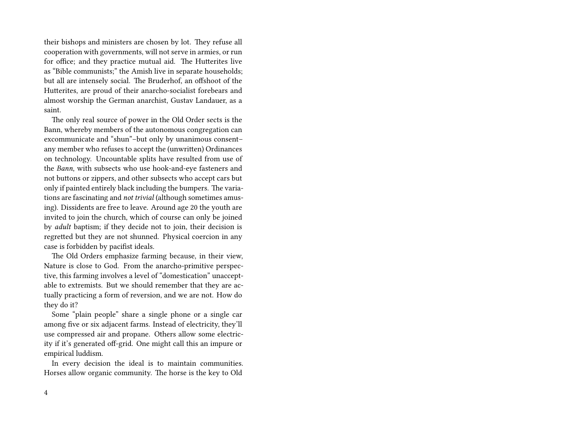their bishops and ministers are chosen by lot. They refuse all cooperation with governments, will not serve in armies, or run for office; and they practice mutual aid. The Hutterites live as "Bible communists;" the Amish live in separate households; but all are intensely social. The Bruderhof, an offshoot of the Hutterites, are proud of their anarcho-socialist forebears and almost worship the German anarchist, Gustav Landauer, as a saint.

The only real source of power in the Old Order sects is the Bann, whereby members of the autonomous congregation can excommunicate and "shun"–but only by unanimous consent– any member who refuses to accept the (unwritten) Ordinances on technology. Uncountable splits have resulted from use of the *Bann*, with subsects who use hook-and-eye fasteners and not buttons or zippers, and other subsects who accept cars but only if painted entirely black including the bumpers. The variations are fascinating and *not trivial* (although sometimes amusing). Dissidents are free to leave. Around age 20 the youth are invited to join the church, which of course can only be joined by *adult* baptism; if they decide not to join, their decision is regretted but they are not shunned. Physical coercion in any case is forbidden by pacifist ideals.

The Old Orders emphasize farming because, in their view, Nature is close to God. From the anarcho-primitive perspective, this farming involves a level of "domestication" unacceptable to extremists. But we should remember that they are actually practicing a form of reversion, and we are not. How do they do it?

Some "plain people" share a single phone or a single car among five or six adjacent farms. Instead of electricity, they'll use compressed air and propane. Others allow some electricity if it's generated off-grid. One might call this an impure or empirical luddism.

In every decision the ideal is to maintain communities. Horses allow organic community. The horse is the key to Old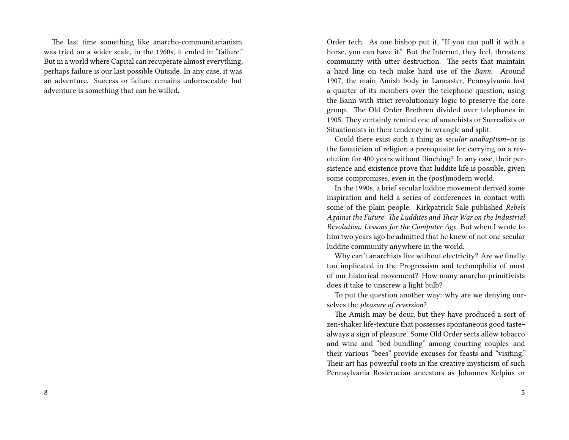The last time something like anarcho-communitarianism was tried on a wider scale, in the 1960s, it ended in "failure." But in a world where Capital can recuperate almost everything, perhaps failure is our last possible Outside. In any case, it was an adventure. Success or failure remains unforeseeable–but adventure is something that can be willed.

Order tech. As one bishop put it, "If you can pull it with a horse, you can have it." But the Internet, they feel, threatens community with utter destruction. The sects that maintain a hard line on tech make hard use of the *Bann*. Around 1907, the main Amish body in Lancaster, Pennsylvania lost a quarter of its members over the telephone question, using the Bann with strict revolutionary logic to preserve the core group. The Old Order Brethren divided over telephones in 1905. They certainly remind one of anarchists or Surrealists or Situationists in their tendency to wrangle and split.

Could there exist such a thing as *secular anabaptism*–or is the fanaticism of religion a prerequisite for carrying on a revolution for 400 years without flinching? In any case, their persistence and existence prove that luddite life is possible, given some compromises, even in the (post)modern world.

In the 1990s, a brief secular luddite movement derived some inspiration and held a series of conferences in contact with some of the plain people. Kirkpatrick Sale published *Rebels Against the Future: The Luddites and Their War on the Industrial Revolution: Lessons for the Computer Age*. But when I wrote to him two years ago he admitted that he knew of not one secular luddite community anywhere in the world.

Why can't anarchists live without electricity? Are we finally too implicated in the Progressism and technophilia of most of our historical movement? How many anarcho-primitivists does it take to unscrew a light bulb?

To put the question another way: why are we denying ourselves the *pleasure of reversion*?

The Amish may be dour, but they have produced a sort of zen-shaker life-texture that possesses spontaneous good taste– always a sign of pleasure. Some Old Order sects allow tobacco and wine and "bed bundling" among courting couples–and their various "bees" provide excuses for feasts and "visiting." Their art has powerful roots in the creative mysticism of such Pennsylvania Rosicrucian ancestors as Johannes Kelpius or